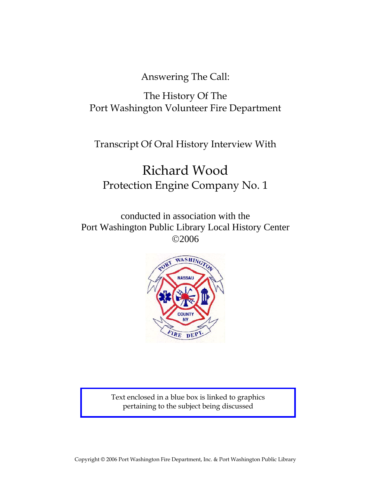Answering The Call:

# The History Of The Port Washington Volunteer Fire Department

Transcript Of Oral History Interview With

# Richard Wood Protection Engine Company No. 1

conducted in association with the Port Washington Public Library Local History Center ©2006



Text enclosed in a blue box is linked to graphics pertaining to the subject being discussed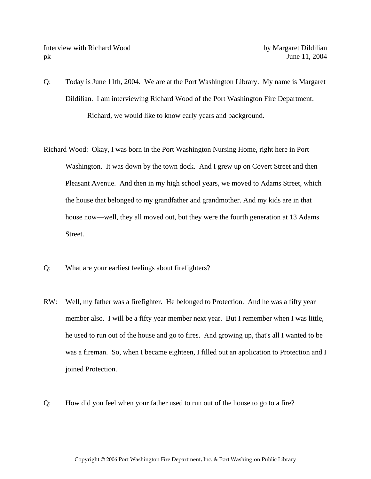- Q: Today is June 11th, 2004. We are at the Port Washington Library. My name is Margaret Dildilian. I am interviewing Richard Wood of the Port Washington Fire Department. Richard, we would like to know early years and background.
- Richard Wood: Okay, I was born in the Port Washington Nursing Home, right here in Port Washington. It was down by the town dock. And I grew up on Covert Street and then Pleasant Avenue. And then in my high school years, we moved to Adams Street, which the house that belonged to my grandfather and grandmother. And my kids are in that house now—well, they all moved out, but they were the fourth generation at 13 Adams Street.
- Q: What are your earliest feelings about firefighters?
- RW: Well, my father was a firefighter. He belonged to Protection. And he was a fifty year member also. I will be a fifty year member next year. But I remember when I was little, he used to run out of the house and go to fires. And growing up, that's all I wanted to be was a fireman. So, when I became eighteen, I filled out an application to Protection and I joined Protection.
- Q: How did you feel when your father used to run out of the house to go to a fire?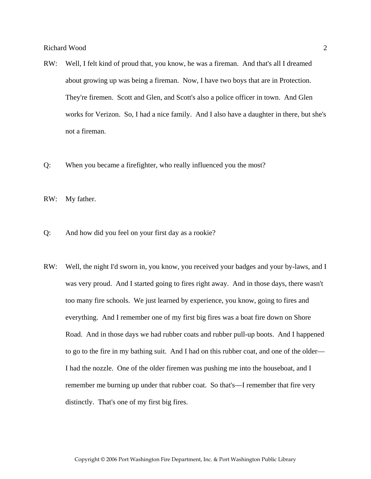- RW: Well, I felt kind of proud that, you know, he was a fireman. And that's all I dreamed about growing up was being a fireman. Now, I have two boys that are in Protection. They're firemen. Scott and Glen, and Scott's also a police officer in town. And Glen works for Verizon. So, I had a nice family. And I also have a daughter in there, but she's not a fireman.
- Q: When you became a firefighter, who really influenced you the most?

RW: My father.

- Q: And how did you feel on your first day as a rookie?
- RW: Well, the night I'd sworn in, you know, you received your badges and your by-laws, and I was very proud. And I started going to fires right away. And in those days, there wasn't too many fire schools. We just learned by experience, you know, going to fires and everything. And I remember one of my first big fires was a boat fire down on Shore Road. And in those days we had rubber coats and rubber pull-up boots. And I happened to go to the fire in my bathing suit. And I had on this rubber coat, and one of the older— I had the nozzle. One of the older firemen was pushing me into the houseboat, and I remember me burning up under that rubber coat. So that's—I remember that fire very distinctly. That's one of my first big fires.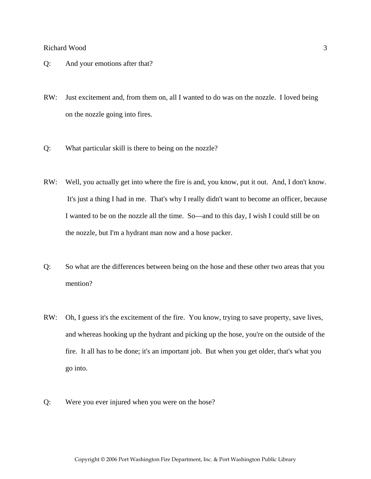- Q: And your emotions after that?
- RW: Just excitement and, from them on, all I wanted to do was on the nozzle. I loved being on the nozzle going into fires.
- Q: What particular skill is there to being on the nozzle?
- RW: Well, you actually get into where the fire is and, you know, put it out. And, I don't know. It's just a thing I had in me. That's why I really didn't want to become an officer, because I wanted to be on the nozzle all the time. So—and to this day, I wish I could still be on the nozzle, but I'm a hydrant man now and a hose packer.
- Q: So what are the differences between being on the hose and these other two areas that you mention?
- RW: Oh, I guess it's the excitement of the fire. You know, trying to save property, save lives, and whereas hooking up the hydrant and picking up the hose, you're on the outside of the fire. It all has to be done; it's an important job. But when you get older, that's what you go into.
- Q: Were you ever injured when you were on the hose?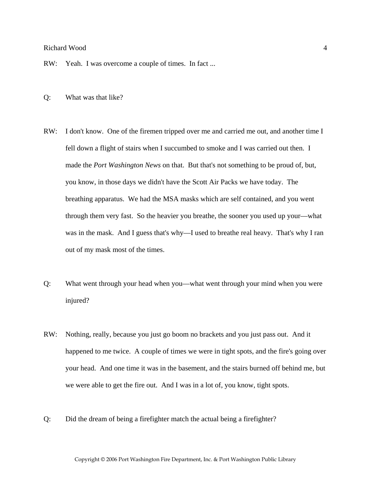#### Richard Wood 4 and 4 and 4 and 4 and 4 and 4 and 4 and 4 and 4 and 4 and 4 and 4 and 4 and 4 and 4 and 4 and 4 and 4 and 4 and 4 and 4 and 4 and 4 and 4 and 4 and 4 and 4 and 4 and 4 and 4 and 4 and 4 and 4 and 4 and 4 and

RW: Yeah. I was overcome a couple of times. In fact ...

- Q: What was that like?
- RW: I don't know. One of the firemen tripped over me and carried me out, and another time I fell down a flight of stairs when I succumbed to smoke and I was carried out then. I made the *Port Washington News* on that. But that's not something to be proud of, but, you know, in those days we didn't have the Scott Air Packs we have today. The breathing apparatus. We had the MSA masks which are self contained, and you went through them very fast. So the heavier you breathe, the sooner you used up your—what was in the mask. And I guess that's why—I used to breathe real heavy. That's why I ran out of my mask most of the times.
- Q: What went through your head when you—what went through your mind when you were injured?
- RW: Nothing, really, because you just go boom no brackets and you just pass out. And it happened to me twice. A couple of times we were in tight spots, and the fire's going over your head. And one time it was in the basement, and the stairs burned off behind me, but we were able to get the fire out. And I was in a lot of, you know, tight spots.
- Q: Did the dream of being a firefighter match the actual being a firefighter?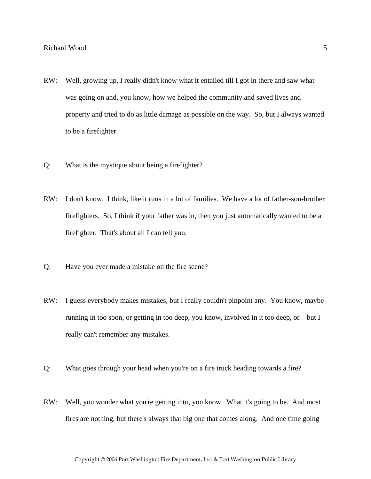- RW: Well, growing up, I really didn't know what it entailed till I got in there and saw what was going on and, you know, how we helped the community and saved lives and property and tried to do as little damage as possible on the way. So, but I always wanted to be a firefighter.
- Q: What is the mystique about being a firefighter?
- RW: I don't know. I think, like it runs in a lot of families. We have a lot of father-son-brother firefighters. So, I think if your father was in, then you just automatically wanted to be a firefighter. That's about all I can tell you.
- Q: Have you ever made a mistake on the fire scene?
- RW: I guess everybody makes mistakes, but I really couldn't pinpoint any. You know, maybe running in too soon, or getting in too deep, you know, involved in it too deep, or—but I really can't remember any mistakes.
- Q: What goes through your head when you're on a fire truck heading towards a fire?
- RW: Well, you wonder what you're getting into, you know. What it's going to be. And most fires are nothing, but there's always that big one that comes along. And one time going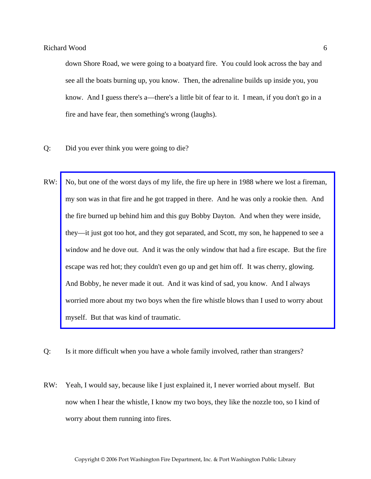down Shore Road, we were going to a boatyard fire. You could look across the bay and see all the boats burning up, you know. Then, the adrenaline builds up inside you, you know. And I guess there's a—there's a little bit of fear to it. I mean, if you don't go in a fire and have fear, then something's wrong (laughs).

- Q: Did you ever think you were going to die?
- RW: [No, but one of the worst days of my life, the fire up here in 1988 where we lost a fireman,](http://www.pwfdhistory.com/trans/woodr_trans/pnews881201_pz.pdf)  my son was in that fire and he got trapped in there. And he was only a rookie then. And the fire burned up behind him and this guy Bobby Dayton. And when they were inside, they—it just got too hot, and they got separated, and Scott, my son, he happened to see a window and he dove out. And it was the only window that had a fire escape. But the fire escape was red hot; they couldn't even go up and get him off. It was cherry, glowing. And Bobby, he never made it out. And it was kind of sad, you know. And I always worried more about my two boys when the fire whistle blows than I used to worry about myself. But that was kind of traumatic.
- Q: Is it more difficult when you have a whole family involved, rather than strangers?
- RW: Yeah, I would say, because like I just explained it, I never worried about myself. But now when I hear the whistle, I know my two boys, they like the nozzle too, so I kind of worry about them running into fires.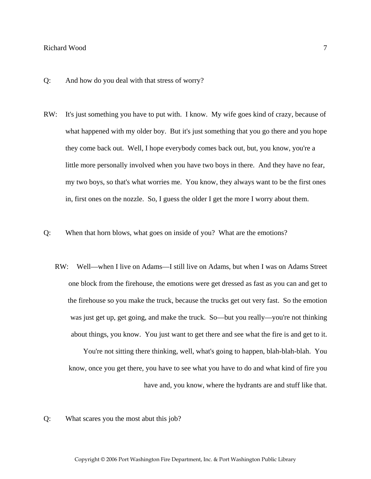#### Richard Wood 7 and 7 and 7 and 7 and 7 and 7 and 7 and 7 and 7 and 7 and 7 and 7 and 7 and 7 and 7 and 7 and 7 and 7 and 7 and 7 and 7 and 7 and 7 and 7 and 7 and 7 and 7 and 7 and 7 and 7 and 7 and 7 and 7 and 7 and 7 and

- Q: And how do you deal with that stress of worry?
- RW: It's just something you have to put with. I know. My wife goes kind of crazy, because of what happened with my older boy. But it's just something that you go there and you hope they come back out. Well, I hope everybody comes back out, but, you know, you're a little more personally involved when you have two boys in there. And they have no fear, my two boys, so that's what worries me. You know, they always want to be the first ones in, first ones on the nozzle. So, I guess the older I get the more I worry about them.
- Q: When that horn blows, what goes on inside of you? What are the emotions?
	- RW: Well—when I live on Adams—I still live on Adams, but when I was on Adams Street one block from the firehouse, the emotions were get dressed as fast as you can and get to the firehouse so you make the truck, because the trucks get out very fast. So the emotion was just get up, get going, and make the truck. So—but you really—you're not thinking about things, you know. You just want to get there and see what the fire is and get to it.

You're not sitting there thinking, well, what's going to happen, blah-blah-blah. You know, once you get there, you have to see what you have to do and what kind of fire you have and, you know, where the hydrants are and stuff like that.

Q: What scares you the most abut this job?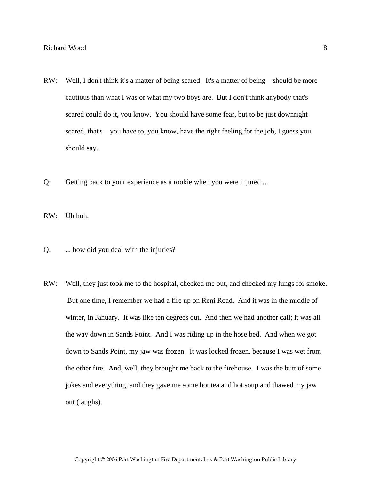- RW: Well, I don't think it's a matter of being scared. It's a matter of being—should be more cautious than what I was or what my two boys are. But I don't think anybody that's scared could do it, you know. You should have some fear, but to be just downright scared, that's—you have to, you know, have the right feeling for the job, I guess you should say.
- Q: Getting back to your experience as a rookie when you were injured ...

RW: Uh huh.

- Q: ... how did you deal with the injuries?
- RW: Well, they just took me to the hospital, checked me out, and checked my lungs for smoke. But one time, I remember we had a fire up on Reni Road. And it was in the middle of winter, in January. It was like ten degrees out. And then we had another call; it was all the way down in Sands Point. And I was riding up in the hose bed. And when we got down to Sands Point, my jaw was frozen. It was locked frozen, because I was wet from the other fire. And, well, they brought me back to the firehouse. I was the butt of some jokes and everything, and they gave me some hot tea and hot soup and thawed my jaw out (laughs).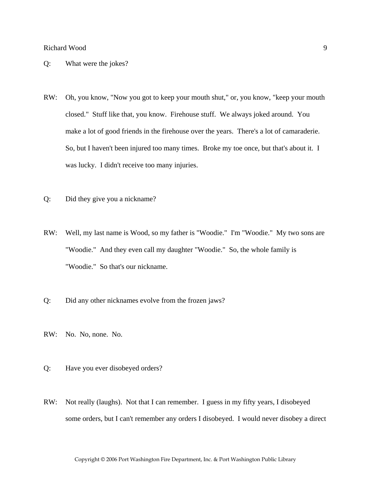#### Q: What were the jokes?

- RW: Oh, you know, "Now you got to keep your mouth shut," or, you know, "keep your mouth closed." Stuff like that, you know. Firehouse stuff. We always joked around. You make a lot of good friends in the firehouse over the years. There's a lot of camaraderie. So, but I haven't been injured too many times. Broke my toe once, but that's about it. I was lucky. I didn't receive too many injuries.
- Q: Did they give you a nickname?
- RW: Well, my last name is Wood, so my father is "Woodie." I'm "Woodie." My two sons are "Woodie." And they even call my daughter "Woodie." So, the whole family is "Woodie." So that's our nickname.
- Q: Did any other nicknames evolve from the frozen jaws?
- RW: No. No, none. No.
- Q: Have you ever disobeyed orders?
- RW: Not really (laughs). Not that I can remember. I guess in my fifty years, I disobeyed some orders, but I can't remember any orders I disobeyed. I would never disobey a direct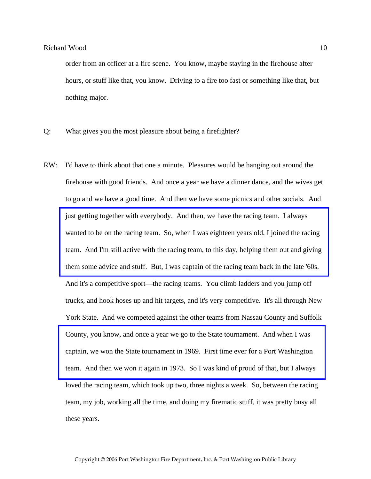order from an officer at a fire scene. You know, maybe staying in the firehouse after hours, or stuff like that, you know. Driving to a fire too fast or something like that, but nothing major.

- Q: What gives you the most pleasure about being a firefighter?
- RW: I'd have to think about that one a minute. Pleasures would be hanging out around the firehouse with good friends. And once a year we have a dinner dance, and the wives get to go and we have a good time. And then we have some picnics and other socials. And just getting together with everybody. And then, we have the racing team. I always wanted to be on the racing team. So, when I was eighteen years old, I joined the racing [team. And I'm still active with the racing team, to this day, helping them out and giving](http://www.pwfdhistory.com/trans/woodr_trans/peco_racing01_web.jpg)  them some advice and stuff. But, I was captain of the racing team back in the late '60s. And it's a competitive sport—the racing teams. You climb ladders and you jump off trucks, and hook hoses up and hit targets, and it's very competitive. It's all through New York State. And we competed against the other teams from Nassau County and Suffolk County, you know, and once a year we go to the State tournament. And when I was captain, we won the State tournament in 1969. First time ever for a Port Washington [team. And then we won it again in 1973. So I was kind of proud of that, but I always](http://www.pwfdhistory.com/trans/woodr_trans/pwfd_news047_web.jpg)  loved the racing team, which took up two, three nights a week. So, between the racing team, my job, working all the time, and doing my firematic stuff, it was pretty busy all these years.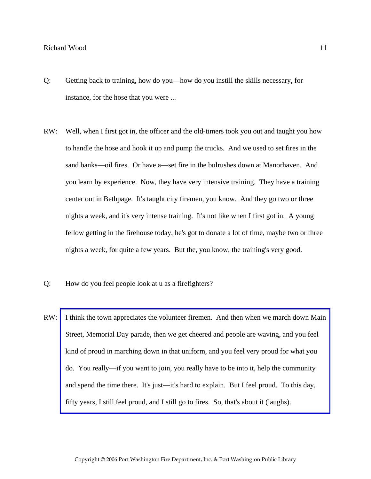- Q: Getting back to training, how do you—how do you instill the skills necessary, for instance, for the hose that you were ...
- RW: Well, when I first got in, the officer and the old-timers took you out and taught you how to handle the hose and hook it up and pump the trucks. And we used to set fires in the sand banks—oil fires. Or have a—set fire in the bulrushes down at Manorhaven. And you learn by experience. Now, they have very intensive training. They have a training center out in Bethpage. It's taught city firemen, you know. And they go two or three nights a week, and it's very intense training. It's not like when I first got in. A young fellow getting in the firehouse today, he's got to donate a lot of time, maybe two or three nights a week, for quite a few years. But the, you know, the training's very good.
- Q: How do you feel people look at u as a firefighters?
- RW: [I think the town appreciates the volunteer firemen. And then when we march down Main](http://www.pwfdhistory.com/trans/woodr_trans/peco_parades006_web.jpg)  Street, Memorial Day parade, then we get cheered and people are waving, and you feel kind of proud in marching down in that uniform, and you feel very proud for what you do. You really—if you want to join, you really have to be into it, help the community and spend the time there. It's just—it's hard to explain. But I feel proud. To this day, fifty years, I still feel proud, and I still go to fires. So, that's about it (laughs).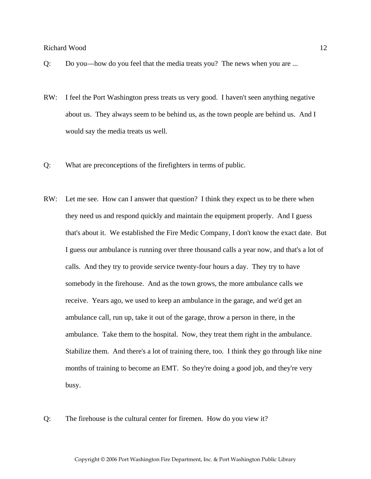- Q: Do you—how do you feel that the media treats you? The news when you are ...
- RW: I feel the Port Washington press treats us very good. I haven't seen anything negative about us. They always seem to be behind us, as the town people are behind us. And I would say the media treats us well.
- Q: What are preconceptions of the firefighters in terms of public.
- RW: Let me see. How can I answer that question? I think they expect us to be there when they need us and respond quickly and maintain the equipment properly. And I guess that's about it. We established the Fire Medic Company, I don't know the exact date. But I guess our ambulance is running over three thousand calls a year now, and that's a lot of calls. And they try to provide service twenty-four hours a day. They try to have somebody in the firehouse. And as the town grows, the more ambulance calls we receive. Years ago, we used to keep an ambulance in the garage, and we'd get an ambulance call, run up, take it out of the garage, throw a person in there, in the ambulance. Take them to the hospital. Now, they treat them right in the ambulance. Stabilize them. And there's a lot of training there, too. I think they go through like nine months of training to become an EMT. So they're doing a good job, and they're very busy.
- Q: The firehouse is the cultural center for firemen. How do you view it?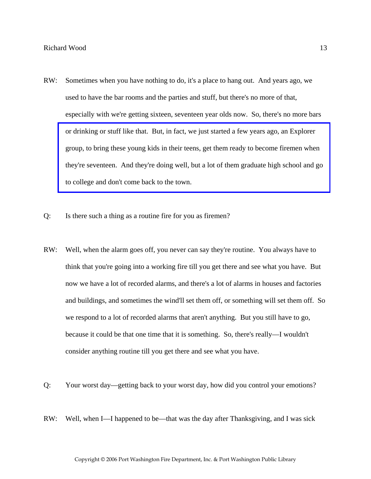- RW: Sometimes when you have nothing to do, it's a place to hang out. And years ago, we used to have the bar rooms and the parties and stuff, but there's no more of that, especially with we're getting sixteen, seventeen year olds now. So, there's no more bars or drinking or stuff like that. But, in fact, we just started a few years ago, an Explorer group, to bring these young kids in their teens, get them ready to become firemen when [they're seventeen. And they're doing well, but a lot of them graduate high school and go](http://www.pwfdhistory.com/trans/woodr_trans/pwfd_members010.jpg)  to college and don't come back to the town.
- Q: Is there such a thing as a routine fire for you as firemen?
- RW: Well, when the alarm goes off, you never can say they're routine. You always have to think that you're going into a working fire till you get there and see what you have. But now we have a lot of recorded alarms, and there's a lot of alarms in houses and factories and buildings, and sometimes the wind'll set them off, or something will set them off. So we respond to a lot of recorded alarms that aren't anything. But you still have to go, because it could be that one time that it is something. So, there's really—I wouldn't consider anything routine till you get there and see what you have.
- Q: Your worst day—getting back to your worst day, how did you control your emotions?
- RW: Well, when I—I happened to be—that was the day after Thanksgiving, and I was sick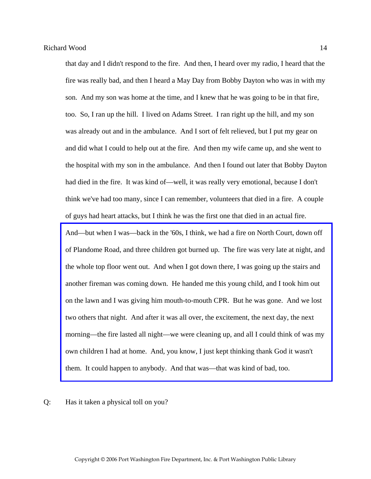that day and I didn't respond to the fire. And then, I heard over my radio, I heard that the fire was really bad, and then I heard a May Day from Bobby Dayton who was in with my son. And my son was home at the time, and I knew that he was going to be in that fire, too. So, I ran up the hill. I lived on Adams Street. I ran right up the hill, and my son was already out and in the ambulance. And I sort of felt relieved, but I put my gear on and did what I could to help out at the fire. And then my wife came up, and she went to the hospital with my son in the ambulance. And then I found out later that Bobby Dayton had died in the fire. It was kind of—well, it was really very emotional, because I don't think we've had too many, since I can remember, volunteers that died in a fire. A couple of guys had heart attacks, but I think he was the first one that died in an actual fire. And—but when I was—back in the '60s, I think, we had a fire on North Court, down off [of Plandome Road, and three children got burned up. The fire was very late at night, and](http://www.pwfdhistory.com/trans/woodr_trans/pwfd_fires07.pdf)  the whole top floor went out. And when I got down there, I was going up the stairs and another fireman was coming down. He handed me this young child, and I took him out on the lawn and I was giving him mouth-to-mouth CPR. But he was gone. And we lost two others that night. And after it was all over, the excitement, the next day, the next morning—the fire lasted all night—we were cleaning up, and all I could think of was my own children I had at home. And, you know, I just kept thinking thank God it wasn't them. It could happen to anybody. And that was—that was kind of bad, too.

Q: Has it taken a physical toll on you?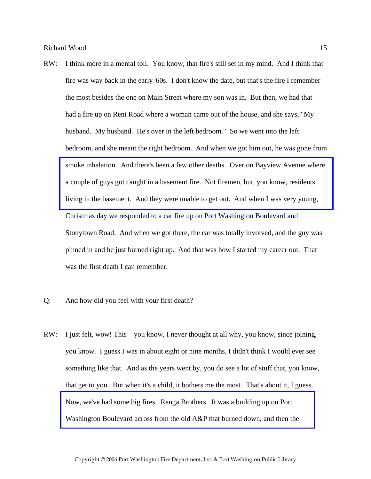RW: I think more in a mental toll. You know, that fire's still set in my mind. And I think that fire was way back in the early '60s. I don't know the date, but that's the fire I remember the most besides the one on Main Street where my son was in. But then, we had that had a fire up on Reni Road where a woman came out of the house, and she says, "My husband. My husband. He's over in the left bedroom." So we went into the left bedroom, and she meant the right bedroom. And when we got him out, he was gone from [smoke inhalation. And there's been a few other deaths. Over on Bayview Avenue where](http://www.pwfdhistory.com/trans/woodr_trans/news_cocks243a_web.jpg)  a couple of guys got caught in a basement fire. Not firemen, but, you know, residents living in the basement. And they were unable to get out. And when I was very young, Christmas day we responded to a car fire up on Port Washington Boulevard and Stonytown Road. And when we got there, the car was totally involved, and the guy was pinned in and he just burned right up. And that was how I started my career out. That was the first death I can remember.

#### Q: And how did you feel with your first death?

RW: I just felt, wow! This—you know, I never thought at all why, you know, since joining, you know. I guess I was in about eight or nine months, I didn't think I would ever see something like that. And as the years went by, you do see a lot of stuff that, you know, that get to you. But when it's a child, it bothers me the most. That's about it, I guess. Now, we've had some big fires. Renga Brothers. It was a building up on Port [Washington Boulevard across from the old A&P that burned down, and then the](http://www.pwfdhistory.com/trans/woodr_trans/pwfd_news051.pdf)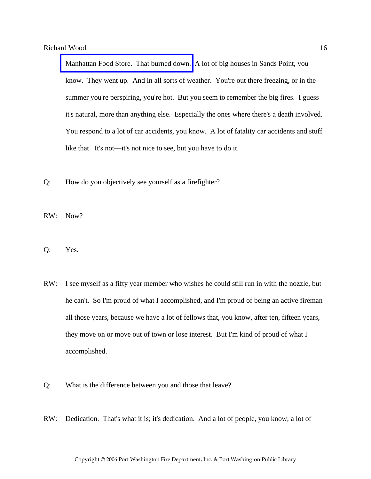[Manhattan Food Store. That burned down.](http://www.pwfdhistory.com/trans/woodr_trans/news_cocks_mfood1970.pdf) A lot of big houses in Sands Point, you know. They went up. And in all sorts of weather. You're out there freezing, or in the summer you're perspiring, you're hot. But you seem to remember the big fires. I guess it's natural, more than anything else. Especially the ones where there's a death involved. You respond to a lot of car accidents, you know. A lot of fatality car accidents and stuff like that. It's not—it's not nice to see, but you have to do it.

- Q: How do you objectively see yourself as a firefighter?
- RW: Now?
- Q: Yes.
- RW: I see myself as a fifty year member who wishes he could still run in with the nozzle, but he can't. So I'm proud of what I accomplished, and I'm proud of being an active fireman all those years, because we have a lot of fellows that, you know, after ten, fifteen years, they move on or move out of town or lose interest. But I'm kind of proud of what I accomplished.
- Q: What is the difference between you and those that leave?
- RW: Dedication. That's what it is; it's dedication. And a lot of people, you know, a lot of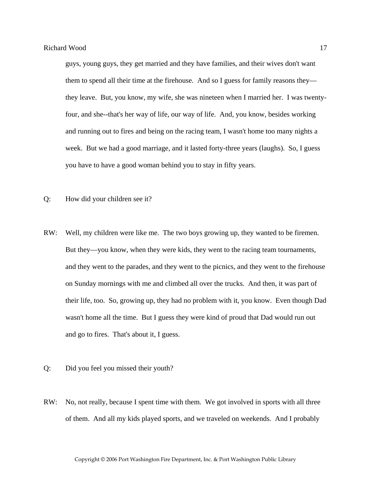guys, young guys, they get married and they have families, and their wives don't want them to spend all their time at the firehouse. And so I guess for family reasons they they leave. But, you know, my wife, she was nineteen when I married her. I was twentyfour, and she--that's her way of life, our way of life. And, you know, besides working and running out to fires and being on the racing team, I wasn't home too many nights a week. But we had a good marriage, and it lasted forty-three years (laughs). So, I guess you have to have a good woman behind you to stay in fifty years.

- Q: How did your children see it?
- RW: Well, my children were like me. The two boys growing up, they wanted to be firemen. But they—you know, when they were kids, they went to the racing team tournaments, and they went to the parades, and they went to the picnics, and they went to the firehouse on Sunday mornings with me and climbed all over the trucks. And then, it was part of their life, too. So, growing up, they had no problem with it, you know. Even though Dad wasn't home all the time. But I guess they were kind of proud that Dad would run out and go to fires. That's about it, I guess.
- Q: Did you feel you missed their youth?
- RW: No, not really, because I spent time with them. We got involved in sports with all three of them. And all my kids played sports, and we traveled on weekends. And I probably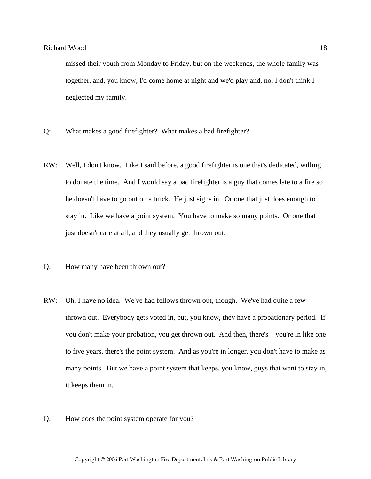missed their youth from Monday to Friday, but on the weekends, the whole family was together, and, you know, I'd come home at night and we'd play and, no, I don't think I neglected my family.

- Q: What makes a good firefighter? What makes a bad firefighter?
- RW: Well, I don't know. Like I said before, a good firefighter is one that's dedicated, willing to donate the time. And I would say a bad firefighter is a guy that comes late to a fire so he doesn't have to go out on a truck. He just signs in. Or one that just does enough to stay in. Like we have a point system. You have to make so many points. Or one that just doesn't care at all, and they usually get thrown out.
- Q: How many have been thrown out?
- RW: Oh, I have no idea. We've had fellows thrown out, though. We've had quite a few thrown out. Everybody gets voted in, but, you know, they have a probationary period. If you don't make your probation, you get thrown out. And then, there's—you're in like one to five years, there's the point system. And as you're in longer, you don't have to make as many points. But we have a point system that keeps, you know, guys that want to stay in, it keeps them in.
- Q: How does the point system operate for you?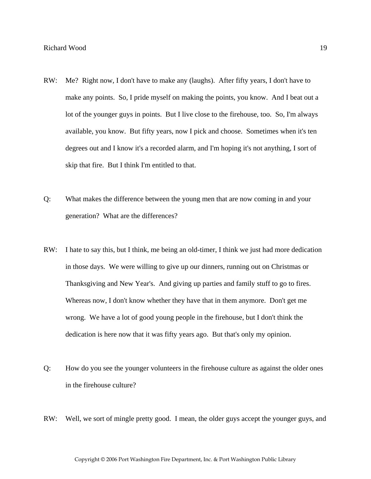- RW: Me? Right now, I don't have to make any (laughs). After fifty years, I don't have to make any points. So, I pride myself on making the points, you know. And I beat out a lot of the younger guys in points. But I live close to the firehouse, too. So, I'm always available, you know. But fifty years, now I pick and choose. Sometimes when it's ten degrees out and I know it's a recorded alarm, and I'm hoping it's not anything, I sort of skip that fire. But I think I'm entitled to that.
- Q: What makes the difference between the young men that are now coming in and your generation? What are the differences?
- RW: I hate to say this, but I think, me being an old-timer, I think we just had more dedication in those days. We were willing to give up our dinners, running out on Christmas or Thanksgiving and New Year's. And giving up parties and family stuff to go to fires. Whereas now, I don't know whether they have that in them anymore. Don't get me wrong. We have a lot of good young people in the firehouse, but I don't think the dedication is here now that it was fifty years ago. But that's only my opinion.
- Q: How do you see the younger volunteers in the firehouse culture as against the older ones in the firehouse culture?
- RW: Well, we sort of mingle pretty good. I mean, the older guys accept the younger guys, and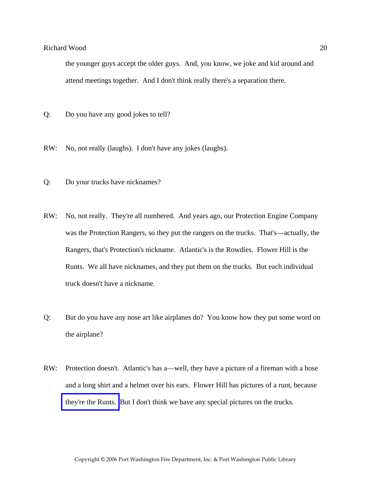the younger guys accept the older guys. And, you know, we joke and kid around and attend meetings together. And I don't think really there's a separation there.

- Q: Do you have any good jokes to tell?
- RW: No, not really (laughs). I don't have any jokes (laughs).
- Q: Do your trucks have nicknames?
- RW: No, not really. They're all numbered. And years ago, our Protection Engine Company was the Protection Rangers, so they put the rangers on the trucks. That's—actually, the Rangers, that's Protection's nickname. Atlantic's is the Rowdies. Flower Hill is the Runts. We all have nicknames, and they put them on the trucks. But each individual truck doesn't have a nickname.
- Q: But do you have any nose art like airplanes do? You know how they put some word on the airplane?
- RW: Protection doesn't. Atlantic's has a—well, they have a picture of a fireman with a hose and a long shirt and a helmet over his ears. Flower Hill has pictures of a runt, because [they're the Runts.](http://www.pwfdhistory.com/trans/woodr_trans/fhh_artifacts004.pdf) But I don't think we have any special pictures on the trucks.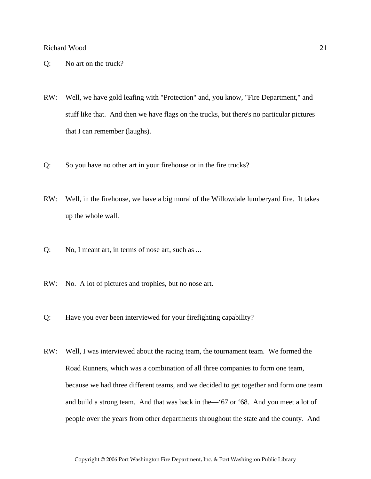- Q: No art on the truck?
- RW: Well, we have gold leafing with "Protection" and, you know, "Fire Department," and stuff like that. And then we have flags on the trucks, but there's no particular pictures that I can remember (laughs).
- Q: So you have no other art in your firehouse or in the fire trucks?
- RW: Well, in the firehouse, we have a big mural of the Willowdale lumberyard fire. It takes up the whole wall.
- Q: No, I meant art, in terms of nose art, such as ...
- RW: No. A lot of pictures and trophies, but no nose art.
- Q: Have you ever been interviewed for your firefighting capability?
- RW: Well, I was interviewed about the racing team, the tournament team. We formed the Road Runners, which was a combination of all three companies to form one team, because we had three different teams, and we decided to get together and form one team and build a strong team. And that was back in the—'67 or '68. And you meet a lot of people over the years from other departments throughout the state and the county. And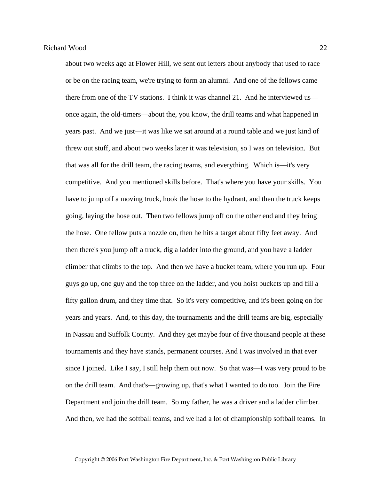about two weeks ago at Flower Hill, we sent out letters about anybody that used to race or be on the racing team, we're trying to form an alumni. And one of the fellows came there from one of the TV stations. I think it was channel 21. And he interviewed us once again, the old-timers—about the, you know, the drill teams and what happened in years past. And we just—it was like we sat around at a round table and we just kind of threw out stuff, and about two weeks later it was television, so I was on television. But that was all for the drill team, the racing teams, and everything. Which is—it's very competitive. And you mentioned skills before. That's where you have your skills. You have to jump off a moving truck, hook the hose to the hydrant, and then the truck keeps going, laying the hose out. Then two fellows jump off on the other end and they bring the hose. One fellow puts a nozzle on, then he hits a target about fifty feet away. And then there's you jump off a truck, dig a ladder into the ground, and you have a ladder climber that climbs to the top. And then we have a bucket team, where you run up. Four guys go up, one guy and the top three on the ladder, and you hoist buckets up and fill a fifty gallon drum, and they time that. So it's very competitive, and it's been going on for years and years. And, to this day, the tournaments and the drill teams are big, especially in Nassau and Suffolk County. And they get maybe four of five thousand people at these tournaments and they have stands, permanent courses. And I was involved in that ever since I joined. Like I say, I still help them out now. So that was—I was very proud to be on the drill team. And that's—growing up, that's what I wanted to do too. Join the Fire Department and join the drill team. So my father, he was a driver and a ladder climber. And then, we had the softball teams, and we had a lot of championship softball teams. In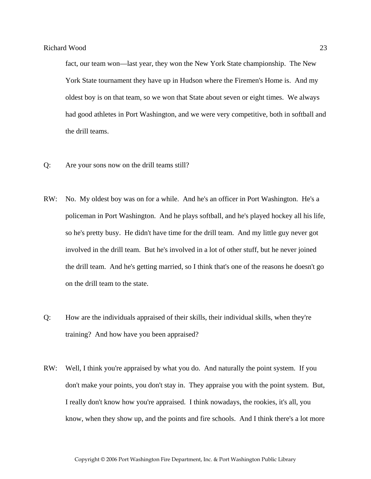fact, our team won—last year, they won the New York State championship. The New York State tournament they have up in Hudson where the Firemen's Home is. And my oldest boy is on that team, so we won that State about seven or eight times. We always had good athletes in Port Washington, and we were very competitive, both in softball and the drill teams.

- Q: Are your sons now on the drill teams still?
- RW: No. My oldest boy was on for a while. And he's an officer in Port Washington. He's a policeman in Port Washington. And he plays softball, and he's played hockey all his life, so he's pretty busy. He didn't have time for the drill team. And my little guy never got involved in the drill team. But he's involved in a lot of other stuff, but he never joined the drill team. And he's getting married, so I think that's one of the reasons he doesn't go on the drill team to the state.
- Q: How are the individuals appraised of their skills, their individual skills, when they're training? And how have you been appraised?
- RW: Well, I think you're appraised by what you do. And naturally the point system. If you don't make your points, you don't stay in. They appraise you with the point system. But, I really don't know how you're appraised. I think nowadays, the rookies, it's all, you know, when they show up, and the points and fire schools. And I think there's a lot more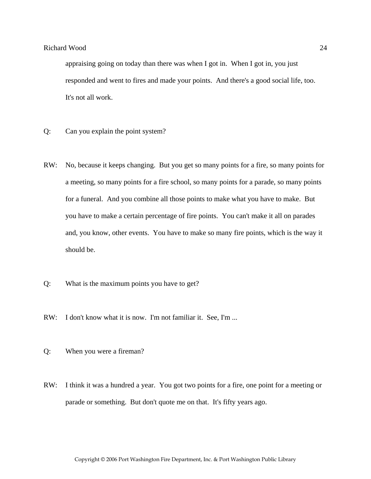appraising going on today than there was when I got in. When I got in, you just responded and went to fires and made your points. And there's a good social life, too. It's not all work.

- Q: Can you explain the point system?
- RW: No, because it keeps changing. But you get so many points for a fire, so many points for a meeting, so many points for a fire school, so many points for a parade, so many points for a funeral. And you combine all those points to make what you have to make. But you have to make a certain percentage of fire points. You can't make it all on parades and, you know, other events. You have to make so many fire points, which is the way it should be.
- Q: What is the maximum points you have to get?
- RW: I don't know what it is now. I'm not familiar it. See, I'm ...
- Q: When you were a fireman?
- RW: I think it was a hundred a year. You got two points for a fire, one point for a meeting or parade or something. But don't quote me on that. It's fifty years ago.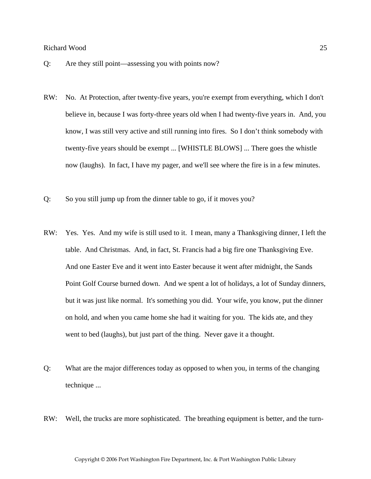- Q: Are they still point—assessing you with points now?
- RW: No. At Protection, after twenty-five years, you're exempt from everything, which I don't believe in, because I was forty-three years old when I had twenty-five years in. And, you know, I was still very active and still running into fires. So I don't think somebody with twenty-five years should be exempt ... [WHISTLE BLOWS] ... There goes the whistle now (laughs). In fact, I have my pager, and we'll see where the fire is in a few minutes.
- Q: So you still jump up from the dinner table to go, if it moves you?
- RW: Yes. Yes. And my wife is still used to it. I mean, many a Thanksgiving dinner, I left the table. And Christmas. And, in fact, St. Francis had a big fire one Thanksgiving Eve. And one Easter Eve and it went into Easter because it went after midnight, the Sands Point Golf Course burned down. And we spent a lot of holidays, a lot of Sunday dinners, but it was just like normal. It's something you did. Your wife, you know, put the dinner on hold, and when you came home she had it waiting for you. The kids ate, and they went to bed (laughs), but just part of the thing. Never gave it a thought.
- Q: What are the major differences today as opposed to when you, in terms of the changing technique ...
- RW: Well, the trucks are more sophisticated. The breathing equipment is better, and the turn-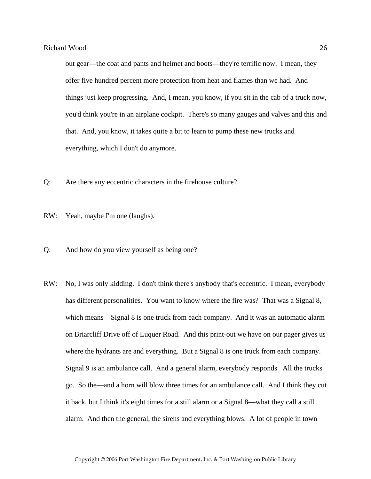out gear—the coat and pants and helmet and boots—they're terrific now. I mean, they offer five hundred percent more protection from heat and flames than we had. And things just keep progressing. And, I mean, you know, if you sit in the cab of a truck now, you'd think you're in an airplane cockpit. There's so many gauges and valves and this and that. And, you know, it takes quite a bit to learn to pump these new trucks and everything, which I don't do anymore.

- Q: Are there any eccentric characters in the firehouse culture?
- RW: Yeah, maybe I'm one (laughs).
- Q: And how do you view yourself as being one?
- RW: No, I was only kidding. I don't think there's anybody that's eccentric. I mean, everybody has different personalities. You want to know where the fire was? That was a Signal 8, which means—Signal 8 is one truck from each company. And it was an automatic alarm on Briarcliff Drive off of Luquer Road. And this print-out we have on our pager gives us where the hydrants are and everything. But a Signal 8 is one truck from each company. Signal 9 is an ambulance call. And a general alarm, everybody responds. All the trucks go. So the—and a horn will blow three times for an ambulance call. And I think they cut it back, but I think it's eight times for a still alarm or a Signal 8—what they call a still alarm. And then the general, the sirens and everything blows. A lot of people in town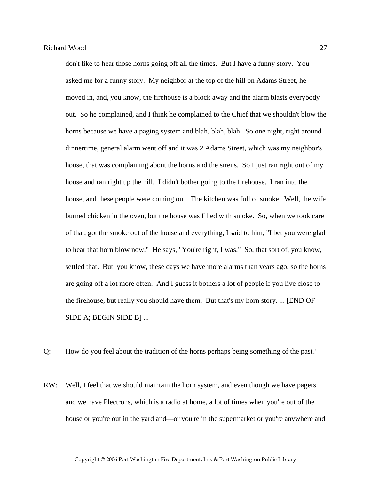don't like to hear those horns going off all the times. But I have a funny story. You asked me for a funny story. My neighbor at the top of the hill on Adams Street, he moved in, and, you know, the firehouse is a block away and the alarm blasts everybody out. So he complained, and I think he complained to the Chief that we shouldn't blow the horns because we have a paging system and blah, blah, blah. So one night, right around dinnertime, general alarm went off and it was 2 Adams Street, which was my neighbor's house, that was complaining about the horns and the sirens. So I just ran right out of my house and ran right up the hill. I didn't bother going to the firehouse. I ran into the house, and these people were coming out. The kitchen was full of smoke. Well, the wife burned chicken in the oven, but the house was filled with smoke. So, when we took care of that, got the smoke out of the house and everything, I said to him, "I bet you were glad to hear that horn blow now." He says, "You're right, I was." So, that sort of, you know, settled that. But, you know, these days we have more alarms than years ago, so the horns are going off a lot more often. And I guess it bothers a lot of people if you live close to the firehouse, but really you should have them. But that's my horn story. ... [END OF SIDE A; BEGIN SIDE B] ...

- Q: How do you feel about the tradition of the horns perhaps being something of the past?
- RW: Well, I feel that we should maintain the horn system, and even though we have pagers and we have Plectrons, which is a radio at home, a lot of times when you're out of the house or you're out in the yard and—or you're in the supermarket or you're anywhere and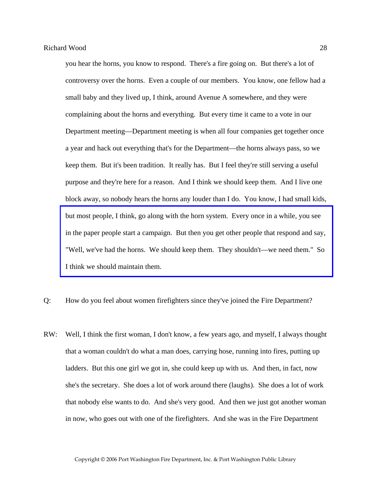you hear the horns, you know to respond. There's a fire going on. But there's a lot of controversy over the horns. Even a couple of our members. You know, one fellow had a small baby and they lived up, I think, around Avenue A somewhere, and they were complaining about the horns and everything. But every time it came to a vote in our Department meeting—Department meeting is when all four companies get together once a year and hack out everything that's for the Department—the horns always pass, so we keep them. But it's been tradition. It really has. But I feel they're still serving a useful purpose and they're here for a reason. And I think we should keep them. And I live one block away, so nobody hears the horns any louder than I do. You know, I had small kids, but most people, I think, go along with the horn system. Every once in a while, you see [in the paper people start a campaign. But then you get other people that respond and say,](http://www.pwfdhistory.com/trans/woodr_trans/pwfd_news068a.pdf)  "Well, we've had the horns. We should keep them. They shouldn't—we need them." So I think we should maintain them.

Q: How do you feel about women firefighters since they've joined the Fire Department?

RW: Well, I think the first woman, I don't know, a few years ago, and myself, I always thought that a woman couldn't do what a man does, carrying hose, running into fires, putting up ladders. But this one girl we got in, she could keep up with us. And then, in fact, now she's the secretary. She does a lot of work around there (laughs). She does a lot of work that nobody else wants to do. And she's very good. And then we just got another woman in now, who goes out with one of the firefighters. And she was in the Fire Department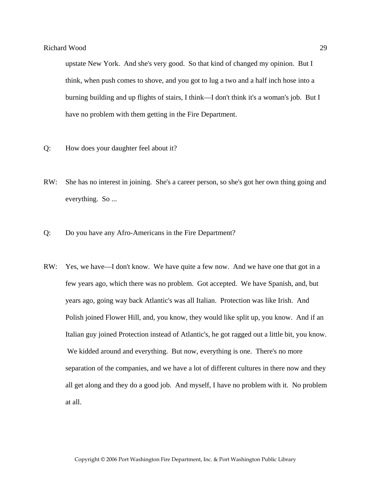upstate New York. And she's very good. So that kind of changed my opinion. But I think, when push comes to shove, and you got to lug a two and a half inch hose into a burning building and up flights of stairs, I think—I don't think it's a woman's job. But I have no problem with them getting in the Fire Department.

- Q: How does your daughter feel about it?
- RW: She has no interest in joining. She's a career person, so she's got her own thing going and everything. So ...
- Q: Do you have any Afro-Americans in the Fire Department?
- RW: Yes, we have—I don't know. We have quite a few now. And we have one that got in a few years ago, which there was no problem. Got accepted. We have Spanish, and, but years ago, going way back Atlantic's was all Italian. Protection was like Irish. And Polish joined Flower Hill, and, you know, they would like split up, you know. And if an Italian guy joined Protection instead of Atlantic's, he got ragged out a little bit, you know. We kidded around and everything. But now, everything is one. There's no more separation of the companies, and we have a lot of different cultures in there now and they all get along and they do a good job. And myself, I have no problem with it. No problem at all.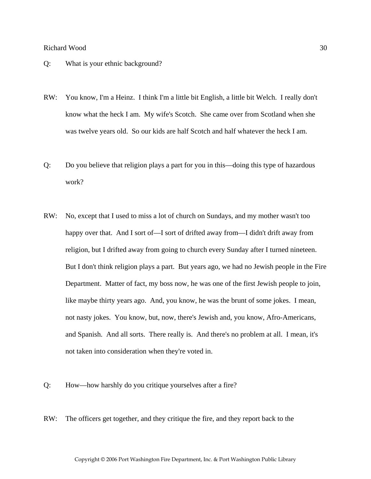- Q: What is your ethnic background?
- RW: You know, I'm a Heinz. I think I'm a little bit English, a little bit Welch. I really don't know what the heck I am. My wife's Scotch. She came over from Scotland when she was twelve years old. So our kids are half Scotch and half whatever the heck I am.
- Q: Do you believe that religion plays a part for you in this—doing this type of hazardous work?
- RW: No, except that I used to miss a lot of church on Sundays, and my mother wasn't too happy over that. And I sort of—I sort of drifted away from—I didn't drift away from religion, but I drifted away from going to church every Sunday after I turned nineteen. But I don't think religion plays a part. But years ago, we had no Jewish people in the Fire Department. Matter of fact, my boss now, he was one of the first Jewish people to join, like maybe thirty years ago. And, you know, he was the brunt of some jokes. I mean, not nasty jokes. You know, but, now, there's Jewish and, you know, Afro-Americans, and Spanish. And all sorts. There really is. And there's no problem at all. I mean, it's not taken into consideration when they're voted in.
- Q: How—how harshly do you critique yourselves after a fire?
- RW: The officers get together, and they critique the fire, and they report back to the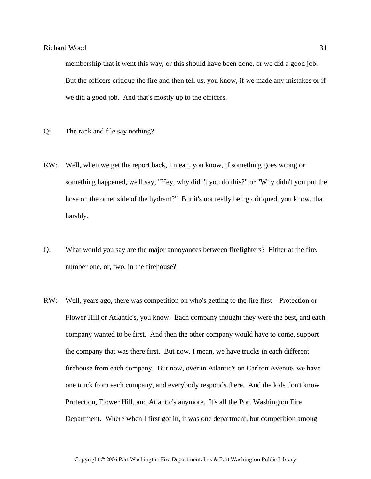membership that it went this way, or this should have been done, or we did a good job. But the officers critique the fire and then tell us, you know, if we made any mistakes or if we did a good job. And that's mostly up to the officers.

- Q: The rank and file say nothing?
- RW: Well, when we get the report back, I mean, you know, if something goes wrong or something happened, we'll say, "Hey, why didn't you do this?" or "Why didn't you put the hose on the other side of the hydrant?" But it's not really being critiqued, you know, that harshly.
- Q: What would you say are the major annoyances between firefighters? Either at the fire, number one, or, two, in the firehouse?
- RW: Well, years ago, there was competition on who's getting to the fire first—Protection or Flower Hill or Atlantic's, you know. Each company thought they were the best, and each company wanted to be first. And then the other company would have to come, support the company that was there first. But now, I mean, we have trucks in each different firehouse from each company. But now, over in Atlantic's on Carlton Avenue, we have one truck from each company, and everybody responds there. And the kids don't know Protection, Flower Hill, and Atlantic's anymore. It's all the Port Washington Fire Department. Where when I first got in, it was one department, but competition among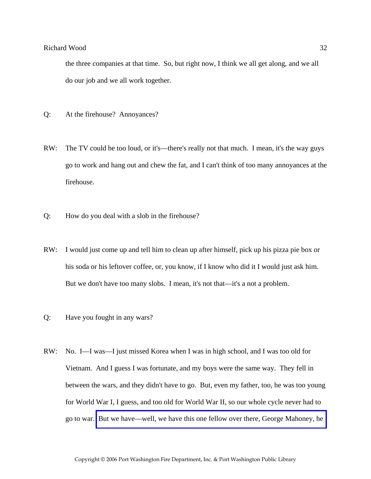the three companies at that time. So, but right now, I think we all get along, and we all do our job and we all work together.

- Q: At the firehouse? Annoyances?
- RW: The TV could be too loud, or it's—there's really not that much. I mean, it's the way guys go to work and hang out and chew the fat, and I can't think of too many annoyances at the firehouse.
- Q: How do you deal with a slob in the firehouse?
- RW: I would just come up and tell him to clean up after himself, pick up his pizza pie box or his soda or his leftover coffee, or, you know, if I know who did it I would just ask him. But we don't have too many slobs. I mean, it's not that—it's a not a problem.
- Q: Have you fought in any wars?
- RW: No. I—I was—I just missed Korea when I was in high school, and I was too old for Vietnam. And I guess I was fortunate, and my boys were the same way. They fell in between the wars, and they didn't have to go. But, even my father, too, he was too young for World War I, I guess, and too old for World War II, so our whole cycle never had to go to war. [But we have—well, we have this one fellow over there, George Mahoney, he](http://www.pwfdhistory.com/trans/woodr_trans/firefoc900712_pz.pdf)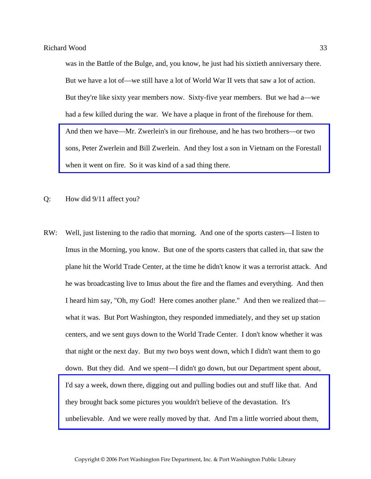was in the Battle of the Bulge, and, you know, he just had his sixtieth anniversary there. But we have a lot of—we still have a lot of World War II vets that saw a lot of action. But they're like sixty year members now. Sixty-five year members. But we had a—we had a few killed during the war. We have a plaque in front of the firehouse for them. And then we have—Mr. Zwerlein's in our firehouse, and he has two brothers—or two [sons, Peter Zwerlein and Bill Zwerlein. And they lost a son in Vietnam on the Forestall](http://www.pwfdhistory.com/trans/woodr_trans/pwrep670804_pz.pdf)  when it went on fire. So it was kind of a sad thing there.

- Q: How did 9/11 affect you?
- RW: Well, just listening to the radio that morning. And one of the sports casters—I listen to Imus in the Morning, you know. But one of the sports casters that called in, that saw the plane hit the World Trade Center, at the time he didn't know it was a terrorist attack. And he was broadcasting live to Imus about the fire and the flames and everything. And then I heard him say, "Oh, my God! Here comes another plane." And then we realized that what it was. But Port Washington, they responded immediately, and they set up station centers, and we sent guys down to the World Trade Center. I don't know whether it was that night or the next day. But my two boys went down, which I didn't want them to go down. But they did. And we spent—I didn't go down, but our Department spent about, I'd say a week, down there, digging out and pulling bodies out and stuff like that. And they brought back some pictures you wouldn't believe of the devastation. It's [unbelievable. And we were really moved by that. And I'm a little worried about them,](http://www.pwfdhistory.com/trans/woodr_trans/pwfd_911006_web.jpg)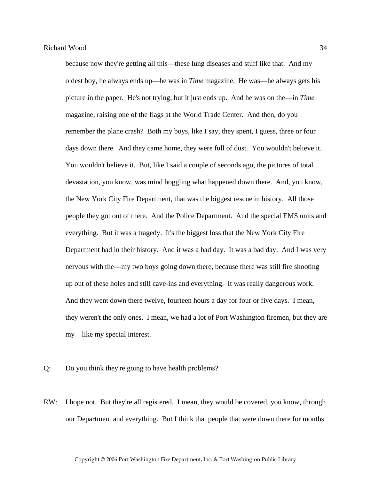because now they're getting all this—these lung diseases and stuff like that. And my oldest boy, he always ends up—he was in *Time* magazine. He was—he always gets his picture in the paper. He's not trying, but it just ends up. And he was on the—in *Time* magazine, raising one of the flags at the World Trade Center. And then, do you remember the plane crash? Both my boys, like I say, they spent, I guess, three or four days down there. And they came home, they were full of dust. You wouldn't believe it. You wouldn't believe it. But, like I said a couple of seconds ago, the pictures of total devastation, you know, was mind boggling what happened down there. And, you know, the New York City Fire Department, that was the biggest rescue in history. All those people they got out of there. And the Police Department. And the special EMS units and everything. But it was a tragedy. It's the biggest loss that the New York City Fire Department had in their history. And it was a bad day. It was a bad day. And I was very nervous with the—my two boys going down there, because there was still fire shooting up out of these holes and still cave-ins and everything. It was really dangerous work. And they went down there twelve, fourteen hours a day for four or five days. I mean, they weren't the only ones. I mean, we had a lot of Port Washington firemen, but they are my—like my special interest.

Q: Do you think they're going to have health problems?

RW: I hope not. But they're all registered. I mean, they would be covered, you know, through our Department and everything. But I think that people that were down there for months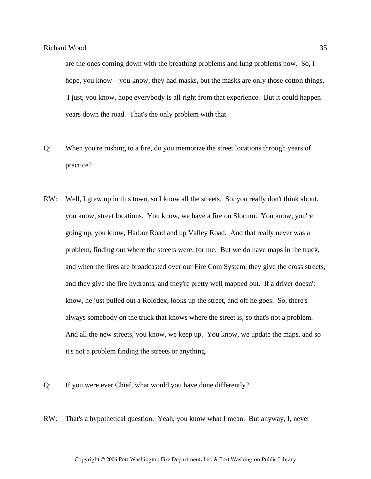are the ones coming down with the breathing problems and lung problems now. So, I hope, you know—you know, they had masks, but the masks are only those cotton things. I just, you know, hope everybody is all right from that experience. But it could happen years down the road. That's the only problem with that.

- Q: When you're rushing to a fire, do you memorize the street locations through years of practice?
- RW: Well, I grew up in this town, so I know all the streets. So, you really don't think about, you know, street locations. You know, we have a fire on Slocum. You know, you're going up, you know, Harbor Road and up Valley Road. And that really never was a problem, finding out where the streets were, for me. But we do have maps in the truck, and when the fires are broadcasted over our Fire Com System, they give the cross streets, and they give the fire hydrants, and they're pretty well mapped out. If a driver doesn't know, he just pulled out a Rolodex, looks up the street, and off he goes. So, there's always somebody on the truck that knows where the street is, so that's not a problem. And all the new streets, you know, we keep up. You know, we update the maps, and so it's not a problem finding the streets or anything.
- Q: If you were ever Chief, what would you have done differently?
- RW: That's a hypothetical question. Yeah, you know what I mean. But anyway, I, never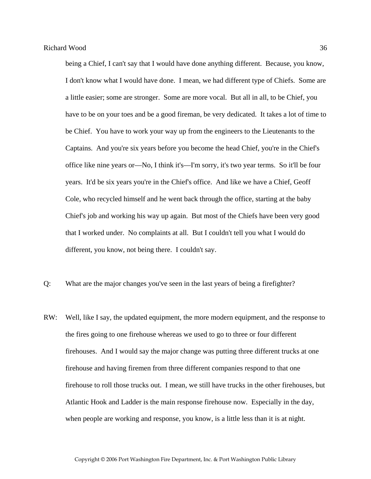being a Chief, I can't say that I would have done anything different. Because, you know, I don't know what I would have done. I mean, we had different type of Chiefs. Some are a little easier; some are stronger. Some are more vocal. But all in all, to be Chief, you have to be on your toes and be a good fireman, be very dedicated. It takes a lot of time to be Chief. You have to work your way up from the engineers to the Lieutenants to the Captains. And you're six years before you become the head Chief, you're in the Chief's office like nine years or—No, I think it's—I'm sorry, it's two year terms. So it'll be four years. It'd be six years you're in the Chief's office. And like we have a Chief, Geoff Cole, who recycled himself and he went back through the office, starting at the baby Chief's job and working his way up again. But most of the Chiefs have been very good that I worked under. No complaints at all. But I couldn't tell you what I would do different, you know, not being there. I couldn't say.

- Q: What are the major changes you've seen in the last years of being a firefighter?
- RW: Well, like I say, the updated equipment, the more modern equipment, and the response to the fires going to one firehouse whereas we used to go to three or four different firehouses. And I would say the major change was putting three different trucks at one firehouse and having firemen from three different companies respond to that one firehouse to roll those trucks out. I mean, we still have trucks in the other firehouses, but Atlantic Hook and Ladder is the main response firehouse now. Especially in the day, when people are working and response, you know, is a little less than it is at night.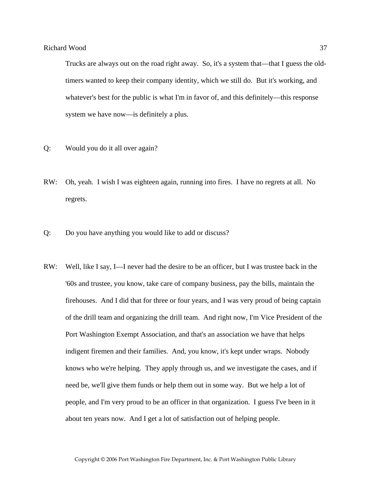Trucks are always out on the road right away. So, it's a system that—that I guess the oldtimers wanted to keep their company identity, which we still do. But it's working, and whatever's best for the public is what I'm in favor of, and this definitely—this response system we have now—is definitely a plus.

- Q: Would you do it all over again?
- RW: Oh, yeah. I wish I was eighteen again, running into fires. I have no regrets at all. No regrets.
- Q: Do you have anything you would like to add or discuss?
- RW: Well, like I say, I—I never had the desire to be an officer, but I was trustee back in the '60s and trustee, you know, take care of company business, pay the bills, maintain the firehouses. And I did that for three or four years, and I was very proud of being captain of the drill team and organizing the drill team. And right now, I'm Vice President of the Port Washington Exempt Association, and that's an association we have that helps indigent firemen and their families. And, you know, it's kept under wraps. Nobody knows who we're helping. They apply through us, and we investigate the cases, and if need be, we'll give them funds or help them out in some way. But we help a lot of people, and I'm very proud to be an officer in that organization. I guess I've been in it about ten years now. And I get a lot of satisfaction out of helping people.